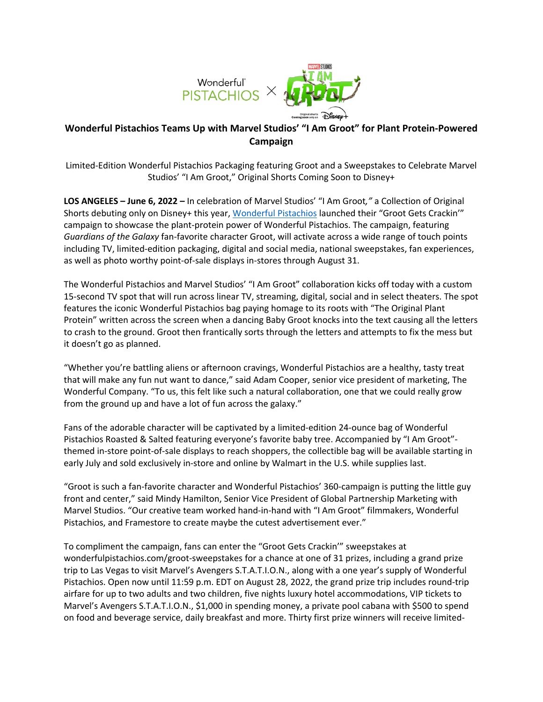

## **Wonderful Pistachios Teams Up with Marvel Studios' "I Am Groot" for Plant Protein-Powered Campaign**

Limited-Edition Wonderful Pistachios Packaging featuring Groot and a Sweepstakes to Celebrate Marvel Studios' "I Am Groot," Original Shorts Coming Soon to Disney+

**LOS ANGELES – June 6, 2022 –** In celebration of Marvel Studios' "I Am Groot*,"* a Collection of Original Shorts debuting only on Disney+ this year, Wonderful Pistachios launched their "Groot Gets Crackin'" campaign to showcase the plant-protein power of Wonderful Pistachios. The campaign, featuring *Guardians of the Galaxy* fan-favorite character Groot, will activate across a wide range of touch points including TV, limited-edition packaging, digital and social media, national sweepstakes, fan experiences, as well as photo worthy point-of-sale displays in-stores through August 31.

The Wonderful Pistachios and Marvel Studios' "I Am Groot" collaboration kicks off today with a custom 15-second TV spot that will run across linear TV, streaming, digital, social and in select theaters. The spot features the iconic Wonderful Pistachios bag paying homage to its roots with "The Original Plant Protein" written across the screen when a dancing Baby Groot knocks into the text causing all the letters to crash to the ground. Groot then frantically sorts through the letters and attempts to fix the mess but it doesn't go as planned.

"Whether you're battling aliens or afternoon cravings, Wonderful Pistachios are a healthy, tasty treat that will make any fun nut want to dance," said Adam Cooper, senior vice president of marketing, The Wonderful Company. "To us, this felt like such a natural collaboration, one that we could really grow from the ground up and have a lot of fun across the galaxy."

Fans of the adorable character will be captivated by a limited-edition 24-ounce bag of Wonderful Pistachios Roasted & Salted featuring everyone's favorite baby tree. Accompanied by "I Am Groot" themed in-store point-of-sale displays to reach shoppers, the collectible bag will be available starting in early July and sold exclusively in-store and online by Walmart in the U.S. while supplies last.

"Groot is such a fan-favorite character and Wonderful Pistachios' 360-campaign is putting the little guy front and center," said Mindy Hamilton, Senior Vice President of Global Partnership Marketing with Marvel Studios. "Our creative team worked hand-in-hand with "I Am Groot" filmmakers, Wonderful Pistachios, and Framestore to create maybe the cutest advertisement ever."

To compliment the campaign, fans can enter the "Groot Gets Crackin'" sweepstakes at wonderfulpistachios.com/groot-sweepstakes for a chance at one of 31 prizes, including a grand prize trip to Las Vegas to visit Marvel's Avengers S.T.A.T.I.O.N., along with a one year's supply of Wonderful Pistachios. Open now until 11:59 p.m. EDT on August 28, 2022, the grand prize trip includes round-trip airfare for up to two adults and two children, five nights luxury hotel accommodations, VIP tickets to Marvel's Avengers S.T.A.T.I.O.N., \$1,000 in spending money, a private pool cabana with \$500 to spend on food and beverage service, daily breakfast and more. Thirty first prize winners will receive limited